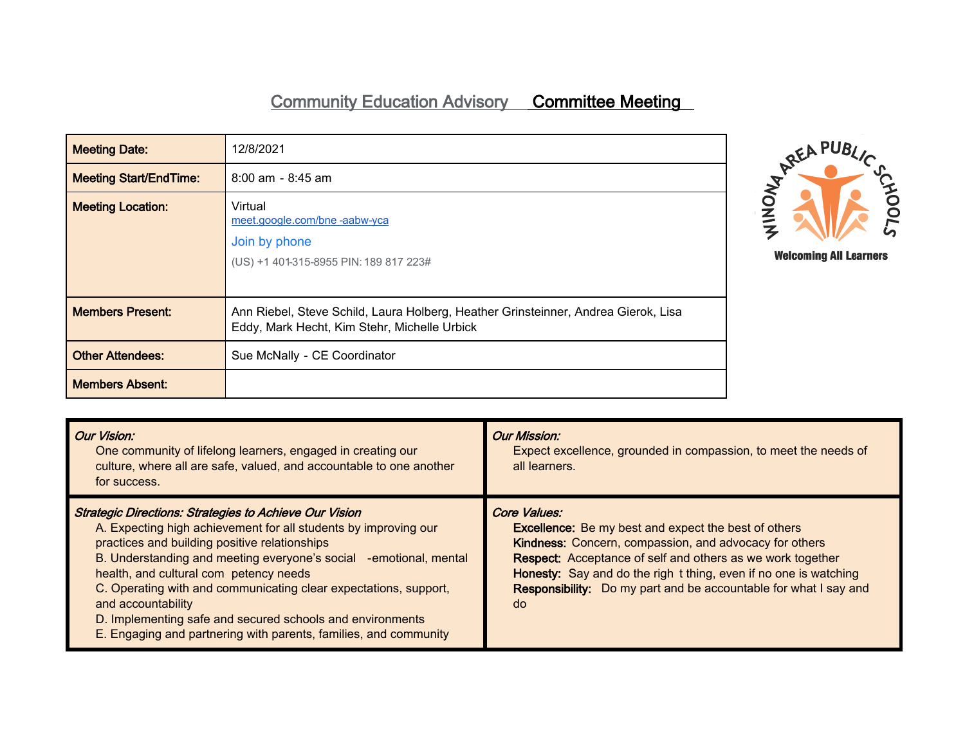## Community Education Advisory Committee Meeting

| <b>Meeting Date:</b>          | 12/8/2021                                                                                                                          |  |
|-------------------------------|------------------------------------------------------------------------------------------------------------------------------------|--|
| <b>Meeting Start/EndTime:</b> | $8:00$ am - $8:45$ am                                                                                                              |  |
| <b>Meeting Location:</b>      | Virtual<br>meet.google.com/bne-aabw-yca<br>Join by phone<br>(US) +1 401-315-8955 PIN: 189 817 223#                                 |  |
| <b>Members Present:</b>       | Ann Riebel, Steve Schild, Laura Holberg, Heather Grinsteinner, Andrea Gierok, Lisa<br>Eddy, Mark Hecht, Kim Stehr, Michelle Urbick |  |
| <b>Other Attendees:</b>       | Sue McNally - CE Coordinator                                                                                                       |  |
| <b>Members Absent:</b>        |                                                                                                                                    |  |



| <b>Our Vision:</b><br>One community of lifelong learners, engaged in creating our<br>culture, where all are safe, valued, and accountable to one another<br>for success.                                                                                                                                                                                                                                                                                                                                                    | <b>Our Mission:</b><br>Expect excellence, grounded in compassion, to meet the needs of<br>all learners.                                                                                                                                                                                                                                           |
|-----------------------------------------------------------------------------------------------------------------------------------------------------------------------------------------------------------------------------------------------------------------------------------------------------------------------------------------------------------------------------------------------------------------------------------------------------------------------------------------------------------------------------|---------------------------------------------------------------------------------------------------------------------------------------------------------------------------------------------------------------------------------------------------------------------------------------------------------------------------------------------------|
| <b>Strategic Directions: Strategies to Achieve Our Vision</b><br>A. Expecting high achievement for all students by improving our<br>practices and building positive relationships<br>B. Understanding and meeting everyone's social -emotional, mental<br>health, and cultural com petency needs<br>C. Operating with and communicating clear expectations, support,<br>and accountability<br>D. Implementing safe and secured schools and environments<br>E. Engaging and partnering with parents, families, and community | Core Values:<br><b>Excellence:</b> Be my best and expect the best of others<br>Kindness: Concern, compassion, and advocacy for others<br>Respect: Acceptance of self and others as we work together<br>Honesty: Say and do the righ t thing, even if no one is watching<br>Responsibility: Do my part and be accountable for what I say and<br>do |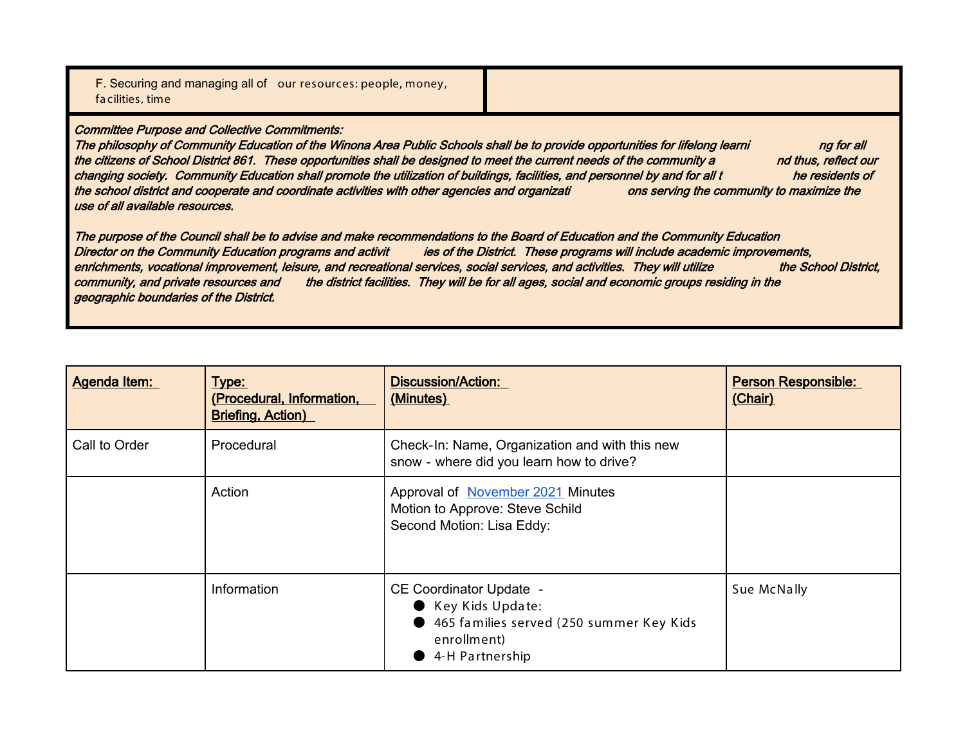|                  | F. Securing and managing all of our resources: people, money, |  |
|------------------|---------------------------------------------------------------|--|
| facilities, time |                                                               |  |

Committee Purpose and Collective Commitments:

The philosophy of Community Education of the Winona Area Public Schools shall be to provide opportunities for lifelong learni ng for all the citizens of School District 861. These opportunities shall be designed to meet the current needs of the community a nd thus, reflect our changing society. Community Education shall promote the utilization of buildings, facilities, and personnel by and for all t he residents of the school district and cooperate and coordinate activities with other agencies and organizati ons serving the community to maximize the use of all available resources.

The purpose of the Council shall be to advise and make recommendations to the Board of Education and the Community Education Director on the Community Education programs and activit ies of the District. These programs will include academic improvements, enrichments, vocational improvement, leisure, and recreational services, social services, and activities. They will utilize the School District, community, and private resources and the district facilities. They will be for all ages, social and economic groups residing in the geographic boundaries of the District.

| <b>Agenda Item:</b> | Type:<br>(Procedural, Information,<br><b>Briefing, Action)</b> | <b>Discussion/Action:</b><br>(Minutes)                                                                                             | <b>Person Responsible:</b><br>(Chair) |
|---------------------|----------------------------------------------------------------|------------------------------------------------------------------------------------------------------------------------------------|---------------------------------------|
| Call to Order       | Procedural                                                     | Check-In: Name, Organization and with this new<br>snow - where did you learn how to drive?                                         |                                       |
|                     | Action                                                         | Approval of November 2021 Minutes<br>Motion to Approve: Steve Schild<br>Second Motion: Lisa Eddy:                                  |                                       |
|                     | Information                                                    | <b>CE Coordinator Update -</b><br>Key Kids Update:<br>● 465 families served (250 summer Key Kids<br>enrollment)<br>4-H Partnership | Sue McNally                           |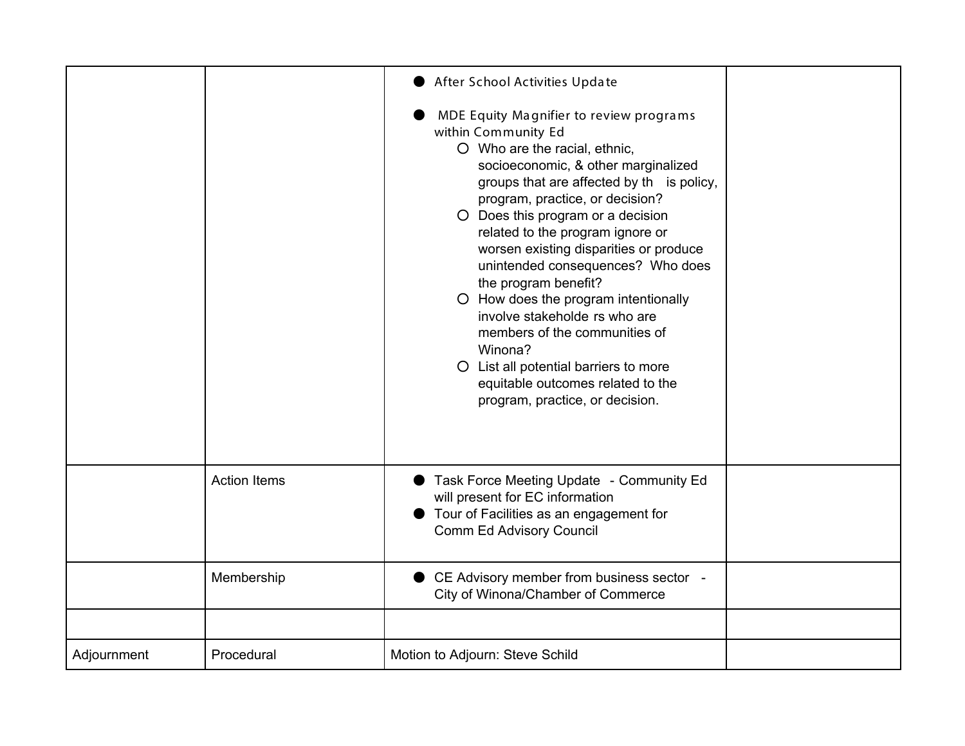|             |                     | After School Activities Update                                                                                                                                                                                                                                                                                                                                                                                                                                                                                                                                                                                                               |  |
|-------------|---------------------|----------------------------------------------------------------------------------------------------------------------------------------------------------------------------------------------------------------------------------------------------------------------------------------------------------------------------------------------------------------------------------------------------------------------------------------------------------------------------------------------------------------------------------------------------------------------------------------------------------------------------------------------|--|
|             |                     | MDE Equity Magnifier to review programs<br>within Community Ed<br>O Who are the racial, ethnic,<br>socioeconomic, & other marginalized<br>groups that are affected by th is policy,<br>program, practice, or decision?<br>O Does this program or a decision<br>related to the program ignore or<br>worsen existing disparities or produce<br>unintended consequences? Who does<br>the program benefit?<br>O How does the program intentionally<br>involve stakeholde rs who are<br>members of the communities of<br>Winona?<br>O List all potential barriers to more<br>equitable outcomes related to the<br>program, practice, or decision. |  |
|             | <b>Action Items</b> | Task Force Meeting Update - Community Ed<br>will present for EC information<br>Tour of Facilities as an engagement for<br><b>Comm Ed Advisory Council</b>                                                                                                                                                                                                                                                                                                                                                                                                                                                                                    |  |
|             | Membership          | CE Advisory member from business sector -<br>City of Winona/Chamber of Commerce                                                                                                                                                                                                                                                                                                                                                                                                                                                                                                                                                              |  |
|             |                     |                                                                                                                                                                                                                                                                                                                                                                                                                                                                                                                                                                                                                                              |  |
| Adjournment | Procedural          | Motion to Adjourn: Steve Schild                                                                                                                                                                                                                                                                                                                                                                                                                                                                                                                                                                                                              |  |